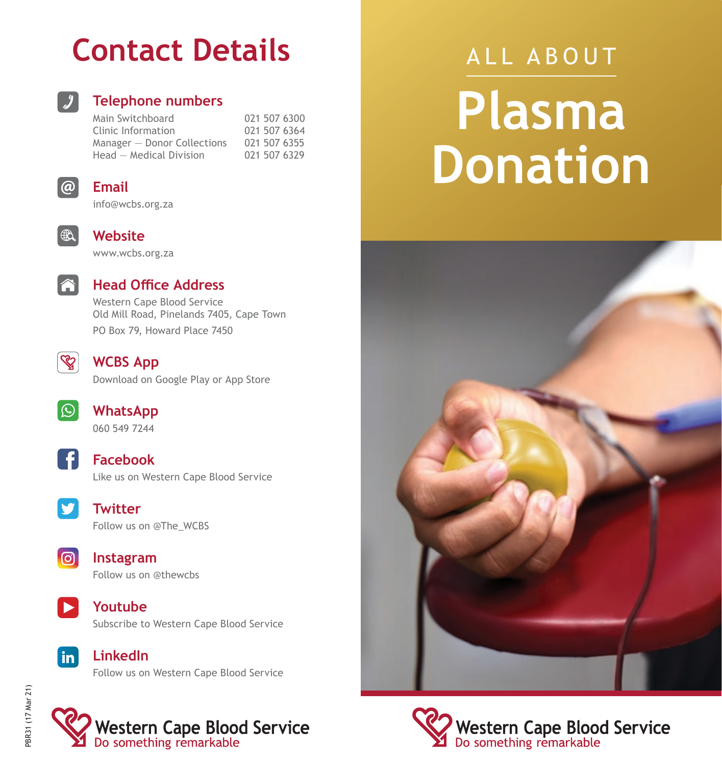## **Contact Details**



#### **Telephone numbers**

Main Switchboard 021 507 6300 Clinic Information 021 507 6364<br>Manager - Donor Collections 021 507 6355 Manager – Donor Collections 021 507 6355<br>Head – Medical Division 021 507 6329  $Head - Medical Division$ 



#### **Email**

info@wcbs.org.za



**Website**





#### **Head Office Address**

Western Cape Blood Service Old Mill Road, Pinelands 7405, Cape Town PO Box 79, Howard Place 7450



#### **WCBS App**

Download on Google Play or App Store



**WhatsApp** 060 549 7244







**Twitter** Follow us on @The\_WCBS



**Instagram** Follow us on @thewcbs



**Youtube** Subscribe to Western Cape Blood Service



**LinkedIn** Follow us on Western Cape Blood Service



# ALL ABOUT **Plasma Donation**